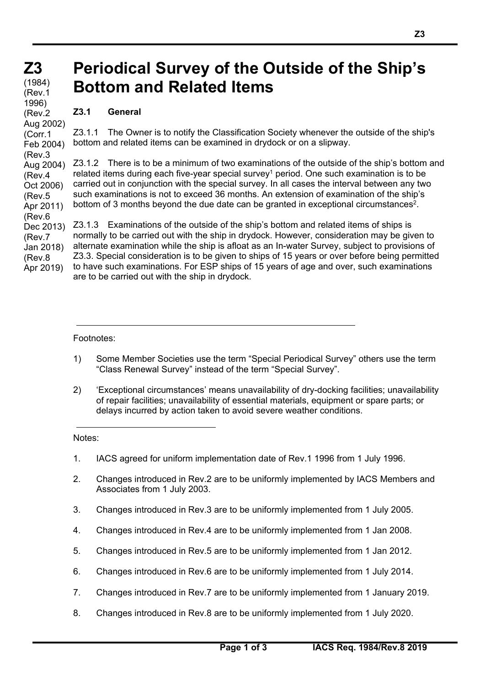# **Periodical Survey of the Outside of the Ship's Bottom and Related Items**

## **Z3.1 General**

Z3.1.1 The Owner is to notify the Classification Society whenever the outside of the ship's bottom and related items can be examined in drydock or on a slipway.

Z3.1.2 There is to be a minimum of two examinations of the outside of the ship's bottom and related items during each five-year special survey<sup>1</sup> period. One such examination is to be carried out in conjunction with the special survey. In all cases the interval between any two such examinations is not to exceed 36 months. An extension of examination of the ship's bottom of 3 months beyond the due date can be granted in exceptional circumstances<sup>2</sup>.

Z3.1.3 Examinations of the outside of the ship's bottom and related items of ships is normally to be carried out with the ship in drydock. However, consideration may be given to alternate examination while the ship is afloat as an In-water Survey, subject to provisions of Z3.3. Special consideration is to be given to ships of 15 years or over before being permitted to have such examinations. For ESP ships of 15 years of age and over, such examinations are to be carried out with the ship in drydock.

#### Footnotes:

- 1) Some Member Societies use the term "Special Periodical Survey" others use the term "Class Renewal Survey" instead of the term "Special Survey".
- 2) 'Exceptional circumstances' means unavailability of dry-docking facilities; unavailability of repair facilities; unavailability of essential materials, equipment or spare parts; or delays incurred by action taken to avoid severe weather conditions.

#### Notes:

 $\overline{a}$ 

- 1. IACS agreed for uniform implementation date of Rev.1 1996 from 1 July 1996.
- 2. Changes introduced in Rev.2 are to be uniformly implemented by IACS Members and Associates from 1 July 2003.
- 3. Changes introduced in Rev.3 are to be uniformly implemented from 1 July 2005.
- 4. Changes introduced in Rev.4 are to be uniformly implemented from 1 Jan 2008.
- 5. Changes introduced in Rev.5 are to be uniformly implemented from 1 Jan 2012.
- 6. Changes introduced in Rev.6 are to be uniformly implemented from 1 July 2014.
- 7. Changes introduced in Rev.7 are to be uniformly implemented from 1 January 2019.
- 8. Changes introduced in Rev.8 are to be uniformly implemented from 1 July 2020.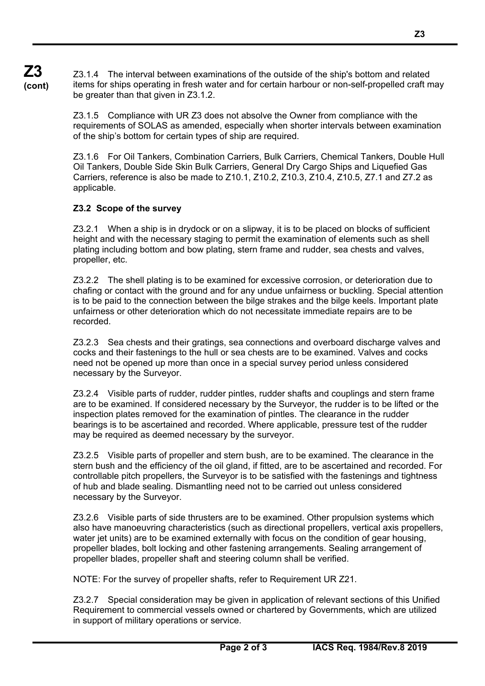**Z3 (cont)** Z3.1.4 The interval between examinations of the outside of the ship's bottom and related items for ships operating in fresh water and for certain harbour or non-self-propelled craft may be greater than that given in Z3.1.2.

> Z3.1.5 Compliance with UR Z3 does not absolve the Owner from compliance with the requirements of SOLAS as amended, especially when shorter intervals between examination of the ship's bottom for certain types of ship are required.

> Z3.1.6 For Oil Tankers, Combination Carriers, Bulk Carriers, Chemical Tankers, Double Hull Oil Tankers, Double Side Skin Bulk Carriers, General Dry Cargo Ships and Liquefied Gas Carriers, reference is also be made to Z10.1, Z10.2, Z10.3, Z10.4, Z10.5, Z7.1 and Z7.2 as applicable.

## **Z3.2 Scope of the survey**

 $\overline{a}$ 

Z3.2.1 When a ship is in drydock or on a slipway, it is to be placed on blocks of sufficient height and with the necessary staging to permit the examination of elements such as shell plating including bottom and bow plating, stern frame and rudder, sea chests and valves, propeller, etc.

Z3.2.2 The shell plating is to be examined for excessive corrosion, or deterioration due to chafing or contact with the ground and for any undue unfairness or buckling. Special attention is to be paid to the connection between the bilge strakes and the bilge keels. Important plate unfairness or other deterioration which do not necessitate immediate repairs are to be recorded.

Z3.2.3 Sea chests and their gratings, sea connections and overboard discharge valves and cocks and their fastenings to the hull or sea chests are to be examined. Valves and cocks need not be opened up more than once in a special survey period unless considered necessary by the Surveyor.

Z3.2.4 Visible parts of rudder, rudder pintles, rudder shafts and couplings and stern frame are to be examined. If considered necessary by the Surveyor, the rudder is to be lifted or the inspection plates removed for the examination of pintles. The clearance in the rudder bearings is to be ascertained and recorded. Where applicable, pressure test of the rudder may be required as deemed necessary by the surveyor.

Z3.2.5 Visible parts of propeller and stern bush, are to be examined. The clearance in the stern bush and the efficiency of the oil gland, if fitted, are to be ascertained and recorded. For controllable pitch propellers, the Surveyor is to be satisfied with the fastenings and tightness of hub and blade sealing. Dismantling need not to be carried out unless considered necessary by the Surveyor.

Z3.2.6 Visible parts of side thrusters are to be examined. Other propulsion systems which also have manoeuvring characteristics (such as directional propellers, vertical axis propellers, water jet units) are to be examined externally with focus on the condition of gear housing, propeller blades, bolt locking and other fastening arrangements. Sealing arrangement of propeller blades, propeller shaft and steering column shall be verified.

NOTE: For the survey of propeller shafts, refer to Requirement UR Z21.

Z3.2.7 Special consideration may be given in application of relevant sections of this Unified Requirement to commercial vessels owned or chartered by Governments, which are utilized in support of military operations or service.